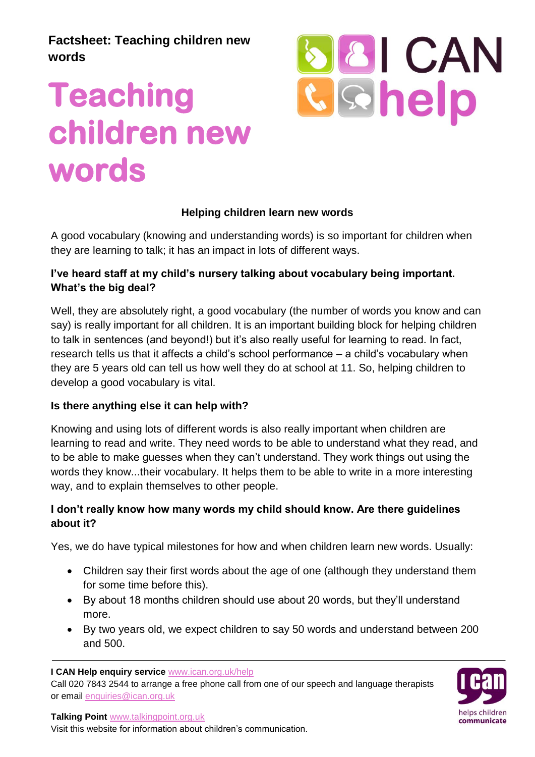**Factsheet: Teaching children new words**

# **Teaching children new words**



#### **Helping children learn new words**

**Helping children learn new words**<br>A good vocabulary (knowing and understanding words) is so important for children when they are learning to talk; it has an impact in lots of different ways.

#### **I've heard staff at my child's nursery talking about vocabulary being important. What's the big deal?**

Well, they are absolutely right, a good vocabulary (the number of words you know and can say) is really important for all children. It is an important building block for helping children to talk in sentences (and beyond!) but it's also really useful for learning to read. In fact, research tells us that it affects a child's school performance – a child's vocabulary when they are 5 years old can tell us how well they do at school at 11. So, helping children to develop a good vocabulary is vital.

#### **Is there anything else it can help with?**

Knowing and using lots of different words is also really important when children are learning to read and write. They need words to be able to understand what they read, and to be able to make guesses when they can't understand. They work things out using the words they know...their vocabulary. It helps them to be able to write in a more interesting way, and to explain themselves to other people.

#### **I don't really know how many words my child should know. Are there guidelines about it?**

Yes, we do have typical milestones for how and when children learn new words. Usually:

- Children say their first words about the age of one (although they understand them for some time before this).
- By about 18 months children should use about 20 words, but they'll understand more.
- By two years old, we expect children to say 50 words and understand between 200 and 500.

**I CAN Help enquiry service** www.ican.org.uk/help

Call 020 7843 2544 to arrange a free phone call from one of our speech and language therapists or email enquiries@ican.org.uk



**Talking Point** www.talkingpoint.org.uk

Visit this website for information about children's communication.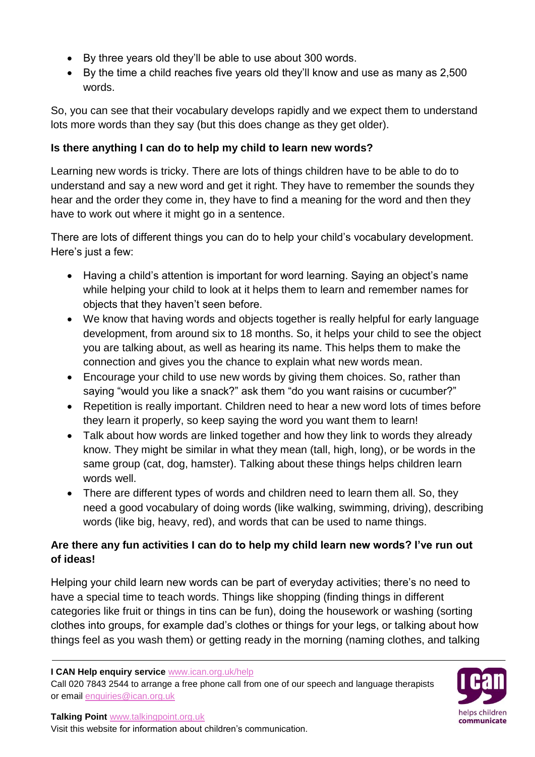- By three years old they'll be able to use about 300 words.
- By the time a child reaches five years old they'll know and use as many as 2,500 words.

So, you can see that their vocabulary develops rapidly and we expect them to understand lots more words than they say (but this does change as they get older).

#### **Is there anything I can do to help my child to learn new words?**

Learning new words is tricky. There are lots of things children have to be able to do to understand and say a new word and get it right. They have to remember the sounds they hear and the order they come in, they have to find a meaning for the word and then they have to work out where it might go in a sentence.

There are lots of different things you can do to help your child's vocabulary development. Here's just a few:

- Having a child's attention is important for word learning. Saying an object's name while helping your child to look at it helps them to learn and remember names for objects that they haven't seen before.
- We know that having words and objects together is really helpful for early language development, from around six to 18 months. So, it helps your child to see the object you are talking about, as well as hearing its name. This helps them to make the connection and gives you the chance to explain what new words mean.
- Encourage your child to use new words by giving them choices. So, rather than saying "would you like a snack?" ask them "do you want raisins or cucumber?"
- Repetition is really important. Children need to hear a new word lots of times before they learn it properly, so keep saying the word you want them to learn!
- Talk about how words are linked together and how they link to words they already know. They might be similar in what they mean (tall, high, long), or be words in the same group (cat, dog, hamster). Talking about these things helps children learn words well.
- There are different types of words and children need to learn them all. So, they need a good vocabulary of doing words (like walking, swimming, driving), describing words (like big, heavy, red), and words that can be used to name things.

# **Are there any fun activities I can do to help my child learn new words? I've run out of ideas!**

Helping your child learn new words can be part of everyday activities; there's no need to have a special time to teach words. Things like shopping (finding things in different categories like fruit or things in tins can be fun), doing the housework or washing (sorting clothes into groups, for example dad's clothes or things for your legs, or talking about how things feel as you wash them) or getting ready in the morning (naming clothes, and talking

**I CAN Help enquiry service** www.ican.org.uk/help

Call 020 7843 2544 to arrange a free phone call from one of our speech and language therapists or email enquiries@ican.org.uk



**Talking Point** www.talkingpoint.org.uk

Visit this website for information about children's communication.